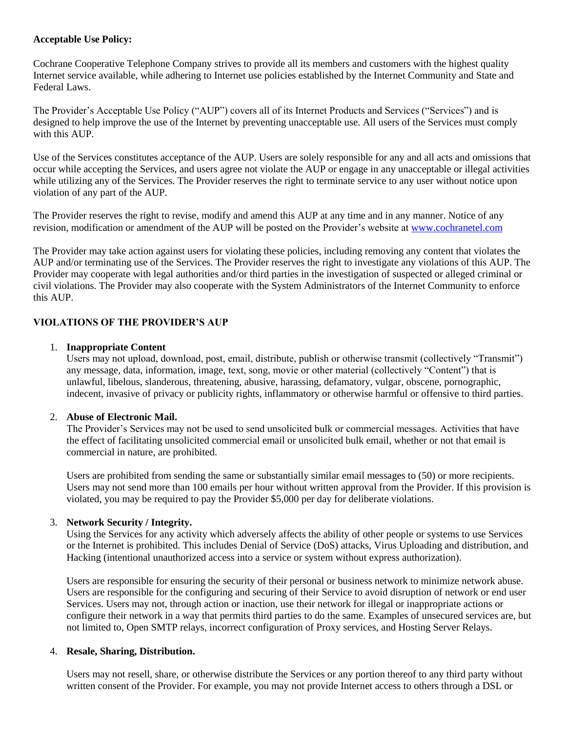### **Acceptable Use Policy:**

Cochrane Cooperative Telephone Company strives to provide all its members and customers with the highest quality Internet service available, while adhering to Internet use policies established by the Internet Community and State and Federal Laws.

The Provider's Acceptable Use Policy ("AUP") covers all of its Internet Products and Services ("Services") and is designed to help improve the use of the Internet by preventing unacceptable use. All users of the Services must comply with this AUP.

Use of the Services constitutes acceptance of the AUP. Users are solely responsible for any and all acts and omissions that occur while accepting the Services, and users agree not violate the AUP or engage in any unacceptable or illegal activities while utilizing any of the Services. The Provider reserves the right to terminate service to any user without notice upon violation of any part of the AUP.

The Provider reserves the right to revise, modify and amend this AUP at any time and in any manner. Notice of any revision, modification or amendment of the AUP will be posted on the Provider's website at www.cochranetel.com

The Provider may take action against users for violating these policies, including removing any content that violates the AUP and/or terminating use of the Services. The Provider reserves the right to investigate any violations of this AUP. The Provider may cooperate with legal authorities and/or third parties in the investigation of suspected or alleged criminal or civil violations. The Provider may also cooperate with the System Administrators of the Internet Community to enforce this AUP.

# **VIOLATIONS OF THE PROVIDER'S AUP**

### 1. **Inappropriate Content**

Users may not upload, download, post, email, distribute, publish or otherwise transmit (collectively "Transmit") any message, data, information, image, text, song, movie or other material (collectively "Content") that is unlawful, libelous, slanderous, threatening, abusive, harassing, defamatory, vulgar, obscene, pornographic, indecent, invasive of privacy or publicity rights, inflammatory or otherwise harmful or offensive to third parties.

### 2. **Abuse of Electronic Mail.**

The Provider's Services may not be used to send unsolicited bulk or commercial messages. Activities that have the effect of facilitating unsolicited commercial email or unsolicited bulk email, whether or not that email is commercial in nature, are prohibited.

Users are prohibited from sending the same or substantially similar email messages to (50) or more recipients. Users may not send more than 100 emails per hour without written approval from the Provider. If this provision is violated, you may be required to pay the Provider \$5,000 per day for deliberate violations.

### 3. **Network Security / Integrity.**

Using the Services for any activity which adversely affects the ability of other people or systems to use Services or the Internet is prohibited. This includes Denial of Service (DoS) attacks, Virus Uploading and distribution, and Hacking (intentional unauthorized access into a service or system without express authorization).

Users are responsible for ensuring the security of their personal or business network to minimize network abuse. Users are responsible for the configuring and securing of their Service to avoid disruption of network or end user Services. Users may not, through action or inaction, use their network for illegal or inappropriate actions or configure their network in a way that permits third parties to do the same. Examples of unsecured services are, but not limited to, Open SMTP relays, incorrect configuration of Proxy services, and Hosting Server Relays.

### 4. **Resale, Sharing, Distribution.**

Users may not resell, share, or otherwise distribute the Services or any portion thereof to any third party without written consent of the Provider. For example, you may not provide Internet access to others through a DSL or